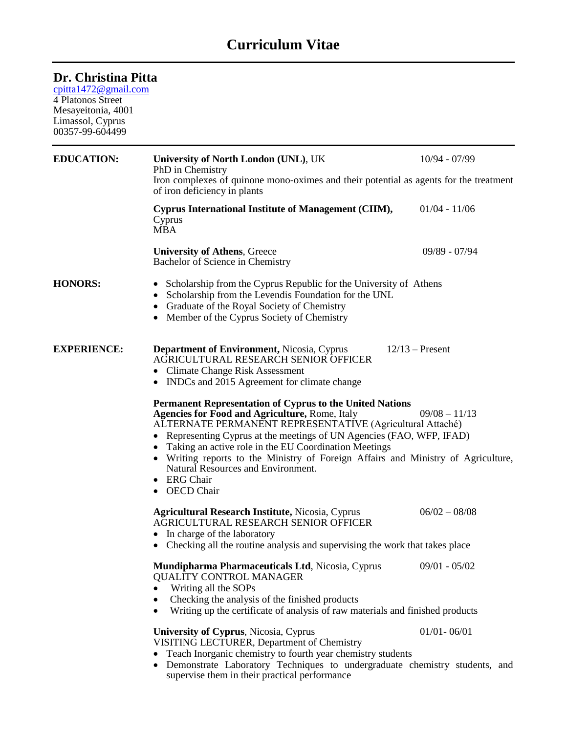## **Curriculum Vitae**

## **Dr. Christina Pitta**

[cpitta1472@gmail.com](mailto:cpitta1472@gmail.com)

4 Platonos Street Mesayeitonia, 4001 Limassol, Cyprus 00357-99-604499

| <b>EDUCATION:</b>  | University of North London (UNL), UK<br>PhD in Chemistry                                                                                                                                                                                                                                                                                                                                                                                                                                                                                          | $10/94 - 07/99$   |  |
|--------------------|---------------------------------------------------------------------------------------------------------------------------------------------------------------------------------------------------------------------------------------------------------------------------------------------------------------------------------------------------------------------------------------------------------------------------------------------------------------------------------------------------------------------------------------------------|-------------------|--|
|                    | Iron complexes of quinone mono-oximes and their potential as agents for the treatment<br>of iron deficiency in plants                                                                                                                                                                                                                                                                                                                                                                                                                             |                   |  |
|                    | Cyprus International Institute of Management (CIIM),<br>Cyprus<br><b>MBA</b>                                                                                                                                                                                                                                                                                                                                                                                                                                                                      | $01/04 - 11/06$   |  |
|                    | <b>University of Athens, Greece</b><br>Bachelor of Science in Chemistry                                                                                                                                                                                                                                                                                                                                                                                                                                                                           | $09/89 - 07/94$   |  |
| <b>HONORS:</b>     | Scholarship from the Cyprus Republic for the University of Athens<br>$\bullet$<br>Scholarship from the Levendis Foundation for the UNL<br>Graduate of the Royal Society of Chemistry<br>Member of the Cyprus Society of Chemistry                                                                                                                                                                                                                                                                                                                 |                   |  |
| <b>EXPERIENCE:</b> | <b>Department of Environment, Nicosia, Cyprus</b><br>AGRICULTURAL RESEARCH SENIOR OFFICER<br><b>Climate Change Risk Assessment</b><br>INDCs and 2015 Agreement for climate change                                                                                                                                                                                                                                                                                                                                                                 | $12/13$ – Present |  |
|                    | <b>Permanent Representation of Cyprus to the United Nations</b><br><b>Agencies for Food and Agriculture, Rome, Italy</b><br>$09/08 - 11/13$<br>ALTERNATE PERMANENT REPRESENTATIVE (Agricultural Attaché)<br>Representing Cyprus at the meetings of UN Agencies (FAO, WFP, IFAD)<br>$\bullet$<br>Taking an active role in the EU Coordination Meetings<br>Writing reports to the Ministry of Foreign Affairs and Ministry of Agriculture,<br>$\bullet$<br>Natural Resources and Environment.<br><b>ERG</b> Chair<br><b>OECD</b> Chair<br>$\bullet$ |                   |  |
|                    | <b>Agricultural Research Institute, Nicosia, Cyprus</b><br>AGRICULTURAL RESEARCH SENIOR OFFICER<br>In charge of the laboratory<br>Checking all the routine analysis and supervising the work that takes place                                                                                                                                                                                                                                                                                                                                     | $06/02 - 08/08$   |  |
|                    | Mundipharma Pharmaceuticals Ltd, Nicosia, Cyprus<br><b>QUALITY CONTROL MANAGER</b><br>Writing all the SOPs<br>Checking the analysis of the finished products<br>Writing up the certificate of analysis of raw materials and finished products                                                                                                                                                                                                                                                                                                     | $09/01 - 05/02$   |  |
|                    | University of Cyprus, Nicosia, Cyprus<br>VISITING LECTURER, Department of Chemistry<br>Teach Inorganic chemistry to fourth year chemistry students<br>Demonstrate Laboratory Techniques to undergraduate chemistry students, and<br>supervise them in their practical performance                                                                                                                                                                                                                                                                 | $01/01 - 06/01$   |  |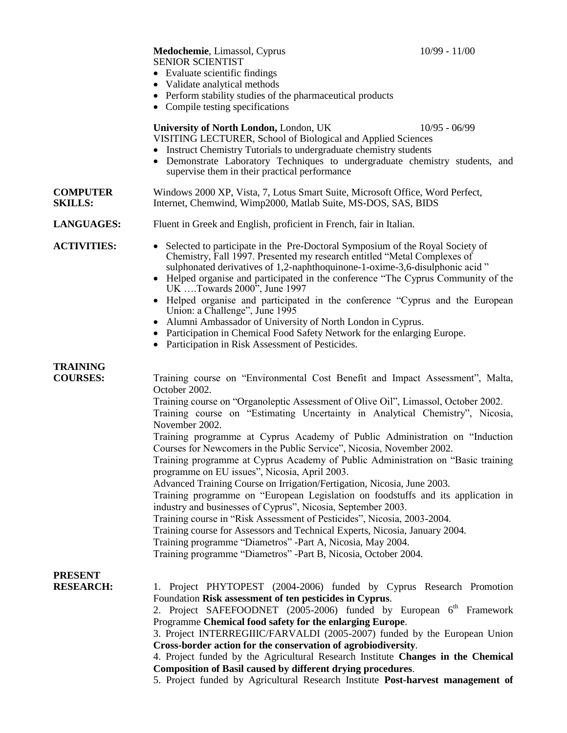|                                   | • Evaluate scientific findings<br>Validate analytical methods<br>• Perform stability studies of the pharmaceutical products<br>• Compile testing specifications                                                                                                                                                                                                                                                                                                                                                                                                                                                                                                                                                                                                                                                                                                                                                                                                                                                                                                                                               |  |
|-----------------------------------|---------------------------------------------------------------------------------------------------------------------------------------------------------------------------------------------------------------------------------------------------------------------------------------------------------------------------------------------------------------------------------------------------------------------------------------------------------------------------------------------------------------------------------------------------------------------------------------------------------------------------------------------------------------------------------------------------------------------------------------------------------------------------------------------------------------------------------------------------------------------------------------------------------------------------------------------------------------------------------------------------------------------------------------------------------------------------------------------------------------|--|
|                                   | University of North London, London, UK<br>$10/95 - 06/99$<br>VISITING LECTURER, School of Biological and Applied Sciences<br>• Instruct Chemistry Tutorials to undergraduate chemistry students<br>Demonstrate Laboratory Techniques to undergraduate chemistry students, and<br>$\bullet$<br>supervise them in their practical performance                                                                                                                                                                                                                                                                                                                                                                                                                                                                                                                                                                                                                                                                                                                                                                   |  |
| <b>COMPUTER</b><br><b>SKILLS:</b> | Windows 2000 XP, Vista, 7, Lotus Smart Suite, Microsoft Office, Word Perfect,<br>Internet, Chemwind, Wimp2000, Matlab Suite, MS-DOS, SAS, BIDS                                                                                                                                                                                                                                                                                                                                                                                                                                                                                                                                                                                                                                                                                                                                                                                                                                                                                                                                                                |  |
| <b>LANGUAGES:</b>                 | Fluent in Greek and English, proficient in French, fair in Italian.                                                                                                                                                                                                                                                                                                                                                                                                                                                                                                                                                                                                                                                                                                                                                                                                                                                                                                                                                                                                                                           |  |
| <b>ACTIVITIES:</b>                | • Selected to participate in the Pre-Doctoral Symposium of the Royal Society of<br>Chemistry, Fall 1997. Presented my research entitled "Metal Complexes of<br>sulphonated derivatives of 1,2-naphthoquinone-1-oxime-3,6-disulphonic acid"<br>• Helped organise and participated in the conference "The Cyprus Community of the<br>UK Towards 2000 <sup>5</sup> , June 1997<br>• Helped organise and participated in the conference "Cyprus and the European<br>Union: a Challenge", June 1995<br>Alumni Ambassador of University of North London in Cyprus.<br>$\bullet$<br>Participation in Chemical Food Safety Network for the enlarging Europe.<br>$\bullet$<br>Participation in Risk Assessment of Pesticides.                                                                                                                                                                                                                                                                                                                                                                                          |  |
| TRAINING<br><b>COURSES:</b>       | Training course on "Environmental Cost Benefit and Impact Assessment", Malta,<br>October 2002.<br>Training course on "Organoleptic Assessment of Olive Oil", Limassol, October 2002.<br>Training course on "Estimating Uncertainty in Analytical Chemistry", Nicosia,<br>November 2002.<br>Training programme at Cyprus Academy of Public Administration on "Induction<br>Courses for Newcomers in the Public Service", Nicosia, November 2002.<br>Training programme at Cyprus Academy of Public Administration on "Basic training<br>programme on EU issues", Nicosia, April 2003.<br>Advanced Training Course on Irrigation/Fertigation, Nicosia, June 2003.<br>Training programme on "European Legislation on foodstuffs and its application in<br>industry and businesses of Cyprus", Nicosia, September 2003.<br>Training course in "Risk Assessment of Pesticides", Nicosia, 2003-2004.<br>Training course for Assessors and Technical Experts, Nicosia, January 2004.<br>Training programme "Diametros" -Part A, Nicosia, May 2004.<br>Training programme "Diametros" -Part B, Nicosia, October 2004. |  |
| <b>PRESENT</b>                    |                                                                                                                                                                                                                                                                                                                                                                                                                                                                                                                                                                                                                                                                                                                                                                                                                                                                                                                                                                                                                                                                                                               |  |

**RESEARCH:** 1. Project PHYTOPEST (2004-2006) funded by Cyprus Research Promotion Foundation **Risk assessment of ten pesticides in Cyprus**.

2. Project SAFEFOODNET (2005-2006) funded by European 6<sup>th</sup> Framework Programme **Chemical food safety for the enlarging Europe**.

3. Project INTERREGIIIC/FARVALDI (2005-2007) funded by the European Union **Cross-border action for the conservation of agrobiodiversity**.

4. Project funded by the Agricultural Research Institute **Changes in the Chemical Composition of Basil caused by different drying procedures**.

5. Project funded by Agricultural Research Institute **Post-harvest management of**